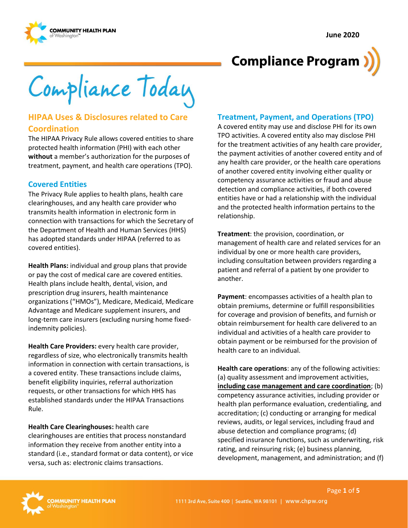**June 2020**



# **Compliance Program**

Compliance Today

### **HIPAA Uses & Disclosures related to Care Coordination**

The HIPAA Privacy Rule allows covered entities to share protected health information (PHI) with each other **without** a member's authorization for the purposes of treatment, payment, and health care operations (TPO).

### **Covered Entities**

The Privacy Rule applies to health plans, health care clearinghouses, and any health care provider who transmits health information in electronic form in connection with transactions for which the Secretary of the Department of Health and Human Services (HHS) has adopted standards under HIPAA (referred to as covered entities).

**Health Plans:** individual and group plans that provide or pay the cost of medical care are covered entities. Health plans include health, dental, vision, and prescription drug insurers, health maintenance organizations ("HMOs"), Medicare, Medicaid, Medicare Advantage and Medicare supplement insurers, and long-term care insurers (excluding nursing home fixedindemnity policies).

**Health Care Providers:** every health care provider, regardless of size, who electronically transmits health information in connection with certain transactions, is a covered entity. These transactions include claims, benefit eligibility inquiries, referral authorization requests, or other transactions for which HHS has established standards under the HIPAA Transactions Rule.

**Health Care Clearinghouses:** health care clearinghouses are entities that process nonstandard information they receive from another entity into a standard (i.e., standard format or data content), or vice versa, such as: electronic claims transactions.

### **Treatment, Payment, and Operations (TPO)**

A covered entity may use and disclose PHI for its own TPO activities. A covered entity also may disclose PHI for the treatment activities of any health care provider, the payment activities of another covered entity and of any health care provider, or the health care operations of another covered entity involving either quality or competency assurance activities or fraud and abuse detection and compliance activities, if both covered entities have or had a relationship with the individual and the protected health information pertains to the relationship.

**Treatment**: the provision, coordination, or management of health care and related services for an individual by one or more health care providers, including consultation between providers regarding a patient and referral of a patient by one provider to another.

**Payment**: encompasses activities of a health plan to obtain premiums, determine or fulfill responsibilities for coverage and provision of benefits, and furnish or obtain reimbursement for health care delivered to an individual and activities of a health care provider to obtain payment or be reimbursed for the provision of health care to an individual.

**Health care operations**: any of the following activities: (a) quality assessment and improvement activities, **including case management and care coordination**; (b) competency assurance activities, including provider or health plan performance evaluation, credentialing, and accreditation; (c) conducting or arranging for medical reviews, audits, or legal services, including fraud and abuse detection and compliance programs; (d) specified insurance functions, such as underwriting, risk rating, and reinsuring risk; (e) business planning, development, management, and administration; and (f)

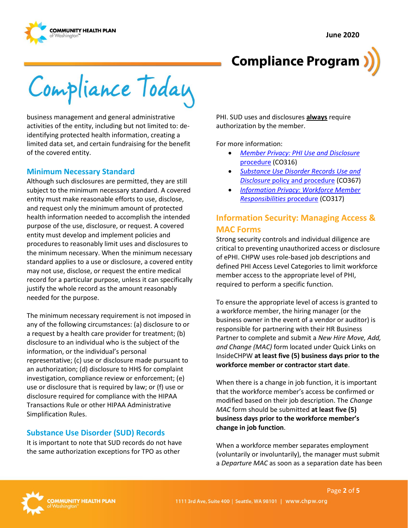



Compliance Today

business management and general administrative activities of the entity, including but not limited to: deidentifying protected health information, creating a limited data set, and certain fundraising for the benefit of the covered entity.

#### **Minimum Necessary Standard**

Although such disclosures are permitted, they are still subject to the minimum necessary standard. A covered entity must make reasonable efforts to use, disclose, and request only the minimum amount of protected health information needed to accomplish the intended purpose of the use, disclosure, or request. A covered entity must develop and implement policies and procedures to reasonably limit uses and disclosures to the minimum necessary. When the minimum necessary standard applies to a use or disclosure, a covered entity may not use, disclose, or request the entire medical record for a particular purpose, unless it can specifically justify the whole record as the amount reasonably needed for the purpose.

The minimum necessary requirement is not imposed in any of the following circumstances: (a) disclosure to or a request by a health care provider for treatment; (b) disclosure to an individual who is the subject of the information, or the individual's personal representative; (c) use or disclosure made pursuant to an authorization; (d) disclosure to HHS for complaint investigation, compliance review or enforcement; (e) use or disclosure that is required by law; or (f) use or disclosure required for compliance with the HIPAA Transactions Rule or other HIPAA Administrative Simplification Rules.

#### **Substance Use Disorder (SUD) Records**

It is important to note that SUD records do not have the same authorization exceptions for TPO as other

PHI. SUD uses and disclosures **always** require authorization by the member.

For more information:

- *[Member Privacy: PHI Use and Disclosure](http://chpsp/PP/Compliance/Member%20Privacy-PHI%20Use%20and%20Disclosure%20Procedure%20-%20CO316.pdf)*  [procedure](http://chpsp/PP/Compliance/Member%20Privacy-PHI%20Use%20and%20Disclosure%20Procedure%20-%20CO316.pdf) (CO316)
- *[Substance Use Disorder Records Use and](http://chpsp/PP/Compliance/Substance%20Use%20Disorder%20Records%20Use%20and%20Disclosure%20Policy%20and%20Procedure%20-%20CO367.pdf)  Disclosure* [policy and procedure](http://chpsp/PP/Compliance/Substance%20Use%20Disorder%20Records%20Use%20and%20Disclosure%20Policy%20and%20Procedure%20-%20CO367.pdf) (CO367)
- *[Information Privacy: Workforce Member](http://chpsp/PP/Compliance/Information%20Privacy%20Workforce%20Member%20Responsibilities%20Procedure%20-%20CO317.pdf)  [Responsibilities](http://chpsp/PP/Compliance/Information%20Privacy%20Workforce%20Member%20Responsibilities%20Procedure%20-%20CO317.pdf)* procedure (CO317)

### **Information Security: Managing Access & MAC Forms**

Strong security controls and individual diligence are critical to preventing unauthorized access or disclosure of ePHI. CHPW uses role-based job descriptions and defined PHI Access Level Categories to limit workforce member access to the appropriate level of PHI, required to perform a specific function.

To ensure the appropriate level of access is granted to a workforce member, the hiring manager (or the business owner in the event of a vendor or auditor) is responsible for partnering with their HR Business Partner to complete and submit a *New Hire Move, Add, and Change (MAC)* form located under Quick Links on InsideCHPW **at least five (5) business days prior to the workforce member or contractor start date**.

When there is a change in job function, it is important that the workforce member's access be confirmed or modified based on their job description. The *Change MAC* form should be submitted **at least five (5) business days prior to the workforce member's change in job function**.

When a workforce member separates employment (voluntarily or involuntarily), the manager must submit a *Departure MAC* as soon as a separation date has been

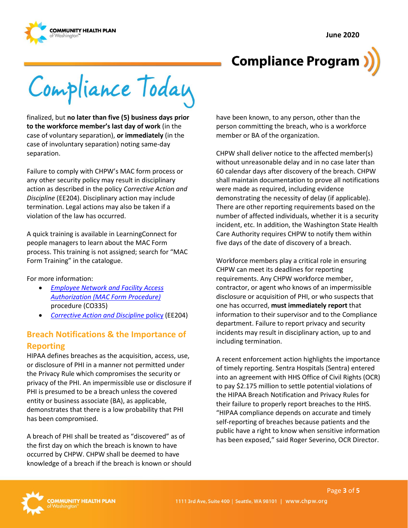**June 2020**



## **Compliance Program**

Compliance Today

finalized, but **no later than five (5) business days prior to the workforce member's last day of work** (in the case of voluntary separation), **or immediately** (in the case of involuntary separation) noting same-day separation.

Failure to comply with CHPW's MAC form process or any other security policy may result in disciplinary action as described in the policy *Corrective Action and Discipline* (EE204). Disciplinary action may include termination. Legal actions may also be taken if a violation of the law has occurred.

A quick training is available in LearningConnect for people managers to learn about the MAC Form process. This training is not assigned; search for "MAC Form Training" in the catalogue.

For more information:

- *[Employee Network and Facility Access](http://chpsp/PP/Compliance/Employee%20Network%20and%20Facility%20Access%20Authorization%20MAC%20Form%20Procedure%20-%20CO335.pdf)  [Authorization \(MAC Form Procedure\)](http://chpsp/PP/Compliance/Employee%20Network%20and%20Facility%20Access%20Authorization%20MAC%20Form%20Procedure%20-%20CO335.pdf)* procedure (CO335)
- *[Corrective Action and Discipline](http://chpsp/PP/Human%20Resources%20Employee%20PPs/Corrective%20Action%20and%20Discipline%20Policy%20-%20EE204.pdf)* policy (EE204)

## **Breach Notifications & the Importance of Reporting**

HIPAA defines breaches as the acquisition, access, use, or disclosure of PHI in a manner not permitted under the Privacy Rule which compromises the security or privacy of the PHI. An impermissible use or disclosure if PHI is presumed to be a breach unless the covered entity or business associate (BA), as applicable, demonstrates that there is a low probability that PHI has been compromised.

A breach of PHI shall be treated as "discovered" as of the first day on which the breach is known to have occurred by CHPW. CHPW shall be deemed to have knowledge of a breach if the breach is known or should have been known, to any person, other than the person committing the breach, who is a workforce member or BA of the organization.

CHPW shall deliver notice to the affected member(s) without unreasonable delay and in no case later than 60 calendar days after discovery of the breach. CHPW shall maintain documentation to prove all notifications were made as required, including evidence demonstrating the necessity of delay (if applicable). There are other reporting requirements based on the number of affected individuals, whether it is a security incident, etc. In addition, the Washington State Health Care Authority requires CHPW to notify them within five days of the date of discovery of a breach.

Workforce members play a critical role in ensuring CHPW can meet its deadlines for reporting requirements. Any CHPW workforce member, contractor, or agent who knows of an impermissible disclosure or acquisition of PHI, or who suspects that one has occurred, **must immediately report** that information to their supervisor and to the Compliance department. Failure to report privacy and security incidents may result in disciplinary action, up to and including termination.

A recent enforcement action highlights the importance of timely reporting. Sentra Hospitals (Sentra) entered into an agreement with HHS Office of Civil Rights (OCR) to pay \$2.175 million to settle potential violations of the HIPAA Breach Notification and Privacy Rules for their failure to properly report breaches to the HHS. "HIPAA compliance depends on accurate and timely self-reporting of breaches because patients and the public have a right to know when sensitive information has been exposed," said Roger Severino, OCR Director.

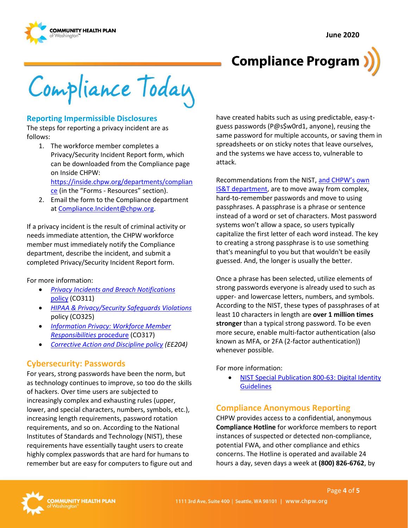

## **Compliance Program**

Compliance Today

#### **Reporting Impermissible Disclosures**

The steps for reporting a privacy incident are as follows:

- 1. The workforce member completes a Privacy/Security Incident Report form, which can be downloaded from the Compliance page on Inside CHPW: [https://inside.chpw.org/departments/complian](https://inside.chpw.org/departments/compliance) [ce](https://inside.chpw.org/departments/compliance) (in the "Forms - Resources" section).
- 2. Email the form to the Compliance department a[t Compliance.Incident@chpw.org.](mailto:Compliance.Incident@chpw.org)

If a privacy incident is the result of criminal activity or needs immediate attention, the CHPW workforce member must immediately notify the Compliance department, describe the incident, and submit a completed Privacy/Security Incident Report form.

For more information:

- *[Privacy Incidents and Breach Notifications](http://chpsp/PP/Compliance/Privacy%20Incidents%20and%20Breach%20Notifications%20Policy%20-%20CO311.pdf)* [policy](http://chpsp/PP/Compliance/Privacy%20Incidents%20and%20Breach%20Notifications%20Policy%20-%20CO311.pdf) (CO311)
- *[HIPAA & Privacy/Security Safeguards Violations](http://chpsp/PP/Compliance/HIPAA%20and%20Privacy%20Security%20Safeguards%20Violations%20Policy%20-%20CO325.pdf)* policy (CO325)
- *[Information Privacy: Workforce Member](http://chpsp/PP/Compliance/Information%20Privacy%20Workforce%20Member%20Responsibilities%20Procedure%20-%20CO317.pdf)  [Responsibilities](http://chpsp/PP/Compliance/Information%20Privacy%20Workforce%20Member%20Responsibilities%20Procedure%20-%20CO317.pdf)* procedure (CO317)
- *[Corrective Action and Discipline policy](http://chpsp/PP/Human%20Resources%20Employee%20PPs/Corrective%20Action%20and%20Discipline%20Policy%20-%20EE204.pdf) (EE204)*

### **Cybersecurity: Passwords**

For years, strong passwords have been the norm, but as technology continues to improve, so too do the skills of hackers. Over time users are subjected to increasingly complex and exhausting rules (upper, lower, and special characters, numbers, symbols, etc.), increasing length requirements, password rotation requirements, and so on. According to the National Institutes of Standards and Technology (NIST), these requirements have essentially taught users to create highly complex passwords that are hard for humans to remember but are easy for computers to figure out and have created habits such as using predictable, easy-tguess passwords (P@s\$w0rd1, anyone), reusing the same password for multiple accounts, or saving them in spreadsheets or on sticky notes that leave ourselves, and the systems we have access to, vulnerable to attack.

Recommendations from the NIST, [and CHPW's own](https://inside.chpw.org/departments/is_t/blogs/passwords_are_dumb_its_time_to_do_better)  **IS&T** department, are to move away from complex, hard-to-remember passwords and move to using passphrases. A passphrase is a phrase or sentence instead of a word or set of characters. Most password systems won't allow a space, so users typically capitalize the first letter of each word instead. The key to creating a strong passphrase is to use something that's meaningful to you but that wouldn't be easily guessed. And, the longer is usually the better.

Once a phrase has been selected, utilize elements of strong passwords everyone is already used to such as upper- and lowercase letters, numbers, and symbols. According to the NIST, these types of passphrases of at least 10 characters in length are **over 1 million times stronger** than a typical strong password. To be even more secure, enable multi-factor authentication (also known as MFA, or 2FA (2-factor authentication)) whenever possible.

For more information:

• NIST Special Publication 800-63: Digital Identity **[Guidelines](https://www.nist.gov/itl/tig/projects/special-publication-800-63)** 

### **Compliance Anonymous Reporting**

CHPW provides access to a confidential, anonymous **Compliance Hotline** for workforce members to report instances of suspected or detected non-compliance, potential FWA, and other compliance and ethics concerns. The Hotline is operated and available 24 hours a day, seven days a week at **(800) 826-6762**, by